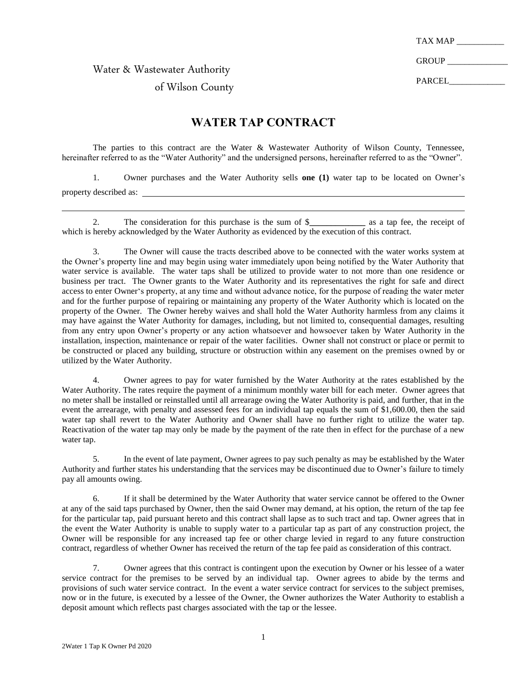TAX MAP

GROUP \_

PARCEL

Water & Wastewater Authority

## of Wilson County

## **WATER TAP CONTRACT**

The parties to this contract are the Water & Wastewater Authority of Wilson County, Tennessee, hereinafter referred to as the "Water Authority" and the undersigned persons, hereinafter referred to as the "Owner".

1. Owner purchases and the Water Authority sells **one (1)** water tap to be located on Owner's property described as:

2. The consideration for this purchase is the sum of \$**\_\_\_\_\_\_\_\_\_\_\_\_\_** as a tap fee, the receipt of which is hereby acknowledged by the Water Authority as evidenced by the execution of this contract.

3. The Owner will cause the tracts described above to be connected with the water works system at the Owner's property line and may begin using water immediately upon being notified by the Water Authority that water service is available. The water taps shall be utilized to provide water to not more than one residence or business per tract. The Owner grants to the Water Authority and its representatives the right for safe and direct access to enter Owner's property, at any time and without advance notice, for the purpose of reading the water meter and for the further purpose of repairing or maintaining any property of the Water Authority which is located on the property of the Owner. The Owner hereby waives and shall hold the Water Authority harmless from any claims it may have against the Water Authority for damages, including, but not limited to, consequential damages, resulting from any entry upon Owner's property or any action whatsoever and howsoever taken by Water Authority in the installation, inspection, maintenance or repair of the water facilities. Owner shall not construct or place or permit to be constructed or placed any building, structure or obstruction within any easement on the premises owned by or utilized by the Water Authority.

4. Owner agrees to pay for water furnished by the Water Authority at the rates established by the Water Authority. The rates require the payment of a minimum monthly water bill for each meter. Owner agrees that no meter shall be installed or reinstalled until all arrearage owing the Water Authority is paid, and further, that in the event the arrearage, with penalty and assessed fees for an individual tap equals the sum of \$1,600.00, then the said water tap shall revert to the Water Authority and Owner shall have no further right to utilize the water tap. Reactivation of the water tap may only be made by the payment of the rate then in effect for the purchase of a new water tap.

5. In the event of late payment, Owner agrees to pay such penalty as may be established by the Water Authority and further states his understanding that the services may be discontinued due to Owner's failure to timely pay all amounts owing.

6. If it shall be determined by the Water Authority that water service cannot be offered to the Owner at any of the said taps purchased by Owner, then the said Owner may demand, at his option, the return of the tap fee for the particular tap, paid pursuant hereto and this contract shall lapse as to such tract and tap. Owner agrees that in the event the Water Authority is unable to supply water to a particular tap as part of any construction project, the Owner will be responsible for any increased tap fee or other charge levied in regard to any future construction contract, regardless of whether Owner has received the return of the tap fee paid as consideration of this contract.

7. Owner agrees that this contract is contingent upon the execution by Owner or his lessee of a water service contract for the premises to be served by an individual tap. Owner agrees to abide by the terms and provisions of such water service contract. In the event a water service contract for services to the subject premises, now or in the future, is executed by a lessee of the Owner, the Owner authorizes the Water Authority to establish a deposit amount which reflects past charges associated with the tap or the lessee.